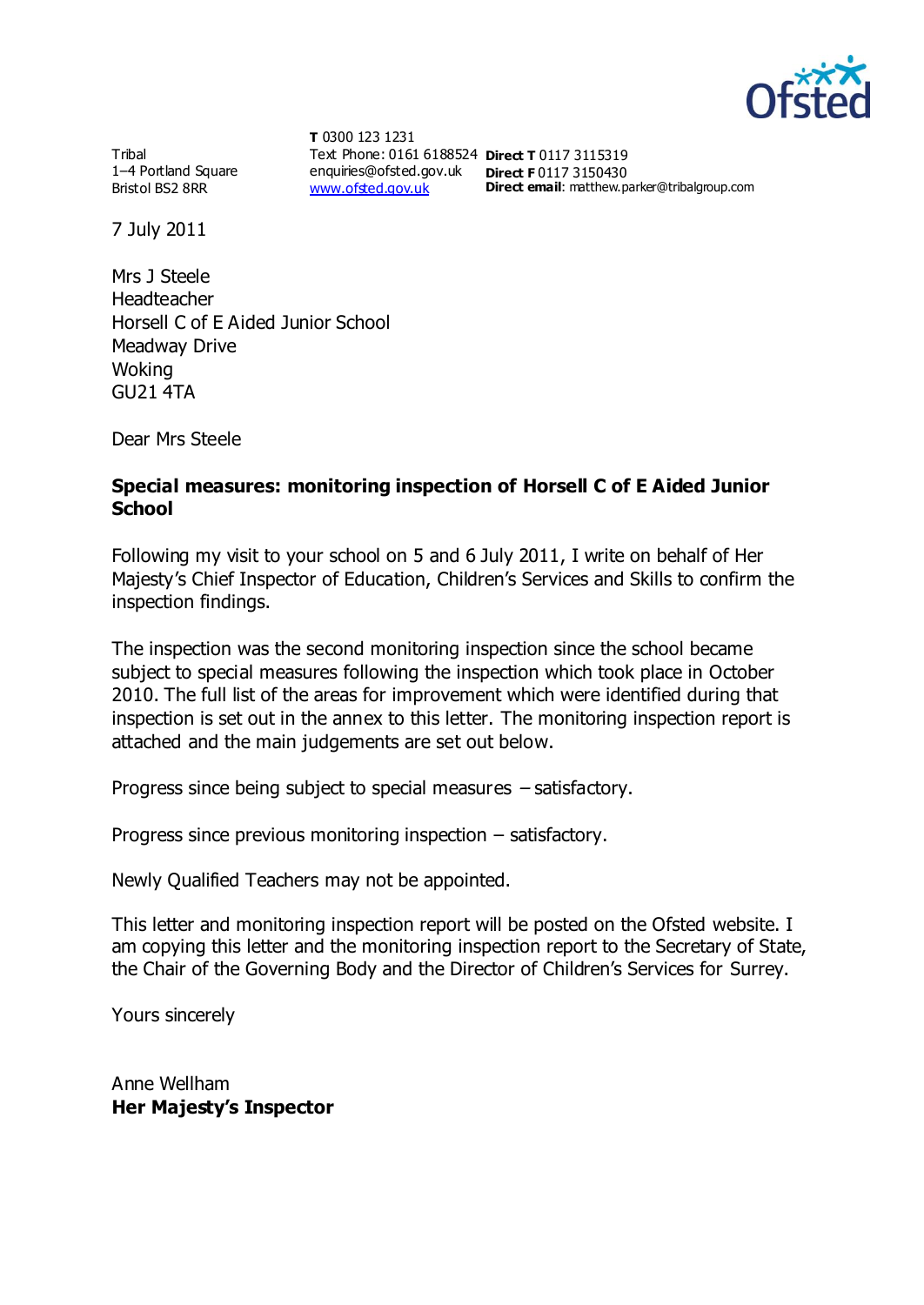

**Tribal** 1–4 Portland Square Bristol BS2 8RR

**T** 0300 123 1231 Text Phone: 0161 6188524 **Direct T** 0117 3115319 enquiries@ofsted.gov.uk **Direct F** 0117 3150430 [www.ofsted.gov.uk](http://www.ofsted.gov.uk/)

**Direct email**: matthew.parker@tribalgroup.com

7 July 2011

Mrs J Steele Headteacher Horsell C of E Aided Junior School Meadway Drive Woking GU21 4TA

Dear Mrs Steele

### **Special measures: monitoring inspection of Horsell C of E Aided Junior School**

Following my visit to your school on 5 and 6 July 2011, I write on behalf of Her Majesty's Chief Inspector of Education, Children's Services and Skills to confirm the inspection findings.

The inspection was the second monitoring inspection since the school became subject to special measures following the inspection which took place in October 2010. The full list of the areas for improvement which were identified during that inspection is set out in the annex to this letter. The monitoring inspection report is attached and the main judgements are set out below.

Progress since being subject to special measures – satisfactory.

Progress since previous monitoring inspection – satisfactory.

Newly Qualified Teachers may not be appointed.

This letter and monitoring inspection report will be posted on the Ofsted website. I am copying this letter and the monitoring inspection report to the Secretary of State, the Chair of the Governing Body and the Director of Children's Services for Surrey.

Yours sincerely

Anne Wellham **Her Majesty's Inspector**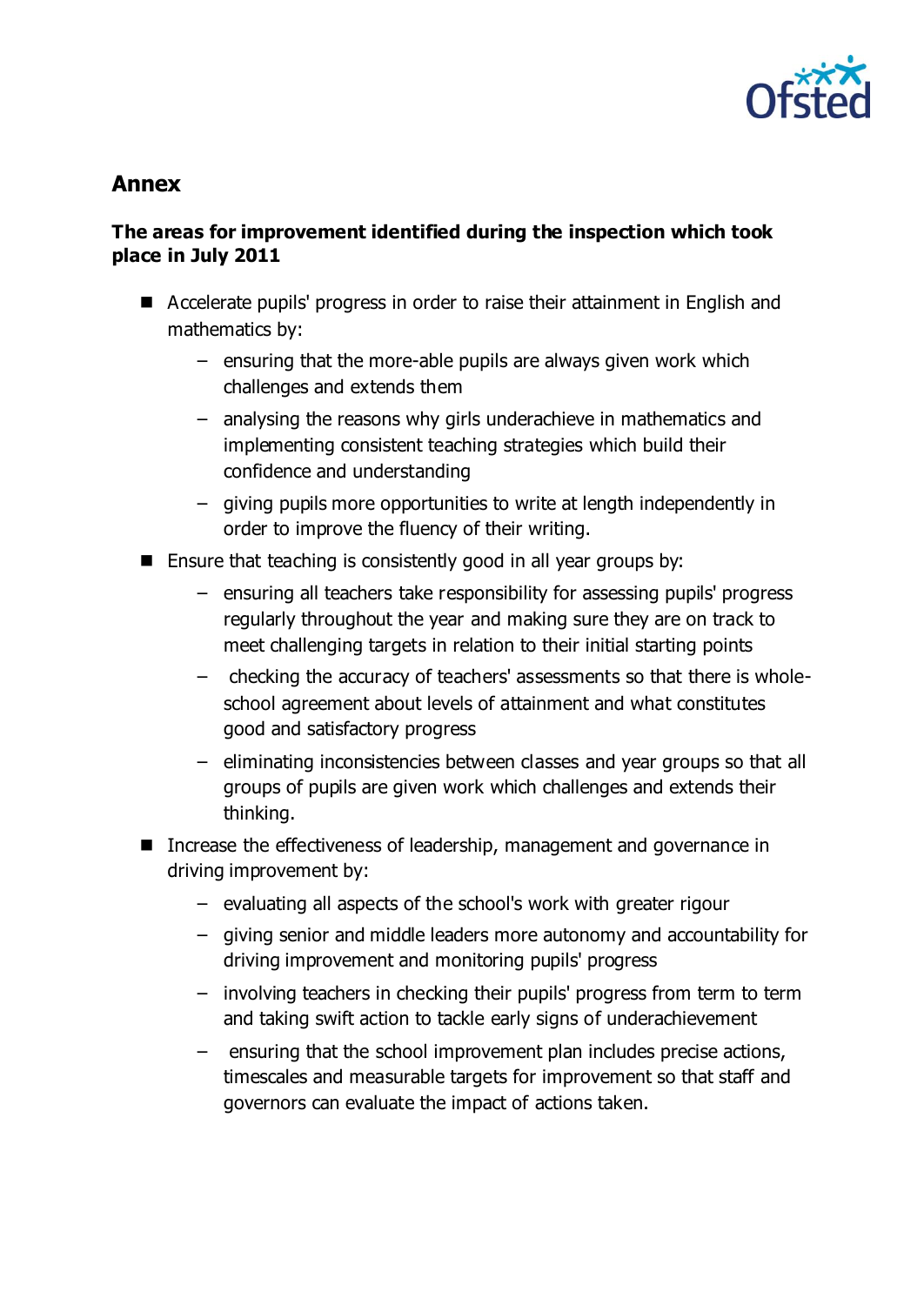

# **Annex**

## **The areas for improvement identified during the inspection which took place in July 2011**

- Accelerate pupils' progress in order to raise their attainment in English and mathematics by:
	- − ensuring that the more-able pupils are always given work which challenges and extends them
	- − analysing the reasons why girls underachieve in mathematics and implementing consistent teaching strategies which build their confidence and understanding
	- − giving pupils more opportunities to write at length independently in order to improve the fluency of their writing.
- $\blacksquare$  Ensure that teaching is consistently good in all year groups by:
	- − ensuring all teachers take responsibility for assessing pupils' progress regularly throughout the year and making sure they are on track to meet challenging targets in relation to their initial starting points
	- − checking the accuracy of teachers' assessments so that there is wholeschool agreement about levels of attainment and what constitutes good and satisfactory progress
	- − eliminating inconsistencies between classes and year groups so that all groups of pupils are given work which challenges and extends their thinking.
- Increase the effectiveness of leadership, management and governance in driving improvement by:
	- − evaluating all aspects of the school's work with greater rigour
	- − giving senior and middle leaders more autonomy and accountability for driving improvement and monitoring pupils' progress
	- − involving teachers in checking their pupils' progress from term to term and taking swift action to tackle early signs of underachievement
	- − ensuring that the school improvement plan includes precise actions, timescales and measurable targets for improvement so that staff and governors can evaluate the impact of actions taken.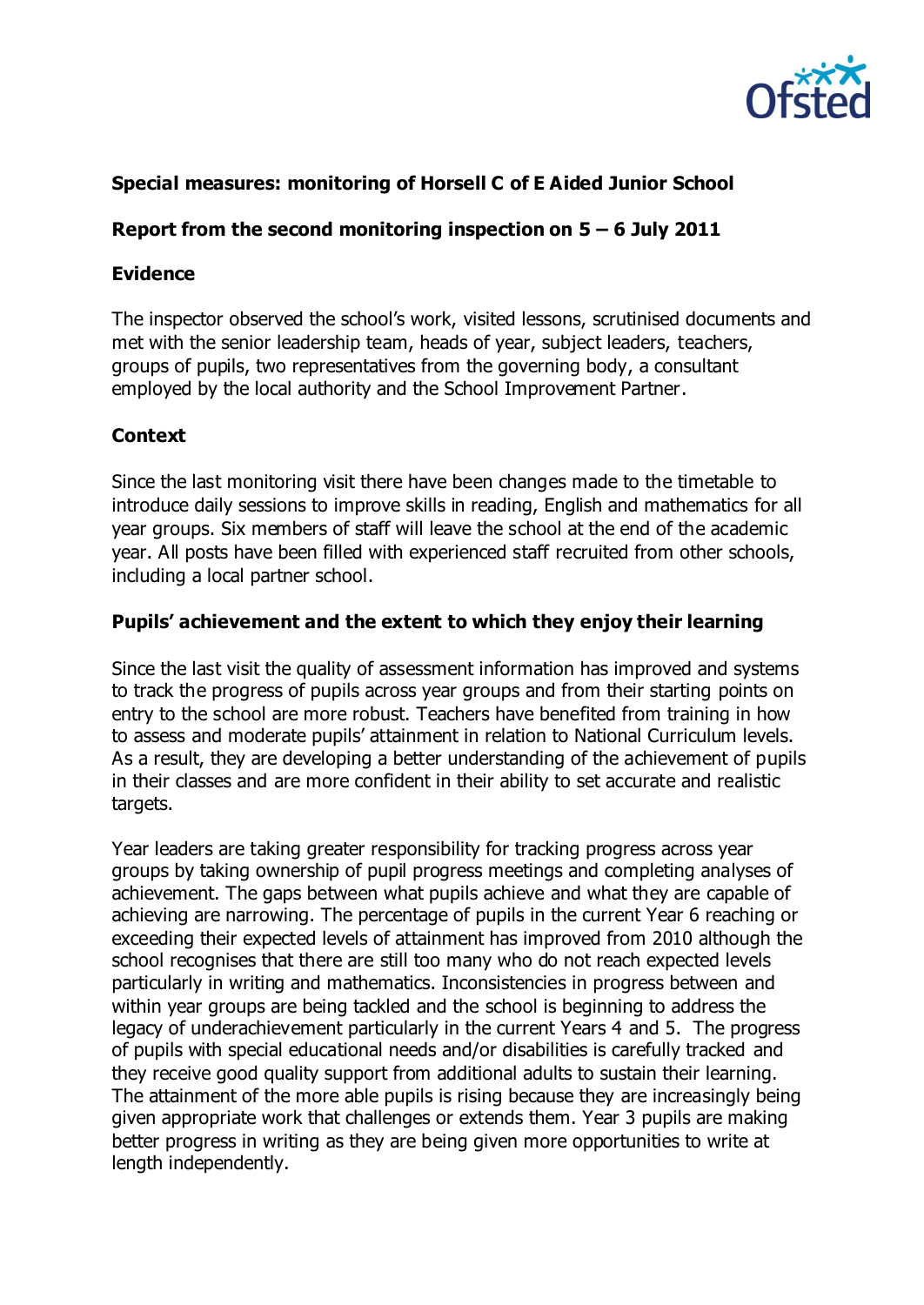

## **Special measures: monitoring of Horsell C of E Aided Junior School**

### **Report from the second monitoring inspection on 5 – 6 July 2011**

### **Evidence**

The inspector observed the school's work, visited lessons, scrutinised documents and met with the senior leadership team, heads of year, subject leaders, teachers, groups of pupils, two representatives from the governing body, a consultant employed by the local authority and the School Improvement Partner.

## **Context**

Since the last monitoring visit there have been changes made to the timetable to introduce daily sessions to improve skills in reading, English and mathematics for all year groups. Six members of staff will leave the school at the end of the academic year. All posts have been filled with experienced staff recruited from other schools, including a local partner school.

## **Pupils' achievement and the extent to which they enjoy their learning**

Since the last visit the quality of assessment information has improved and systems to track the progress of pupils across year groups and from their starting points on entry to the school are more robust. Teachers have benefited from training in how to assess and moderate pupils' attainment in relation to National Curriculum levels. As a result, they are developing a better understanding of the achievement of pupils in their classes and are more confident in their ability to set accurate and realistic targets.

Year leaders are taking greater responsibility for tracking progress across year groups by taking ownership of pupil progress meetings and completing analyses of achievement. The gaps between what pupils achieve and what they are capable of achieving are narrowing. The percentage of pupils in the current Year 6 reaching or exceeding their expected levels of attainment has improved from 2010 although the school recognises that there are still too many who do not reach expected levels particularly in writing and mathematics. Inconsistencies in progress between and within year groups are being tackled and the school is beginning to address the legacy of underachievement particularly in the current Years 4 and 5. The progress of pupils with special educational needs and/or disabilities is carefully tracked and they receive good quality support from additional adults to sustain their learning. The attainment of the more able pupils is rising because they are increasingly being given appropriate work that challenges or extends them. Year 3 pupils are making better progress in writing as they are being given more opportunities to write at length independently.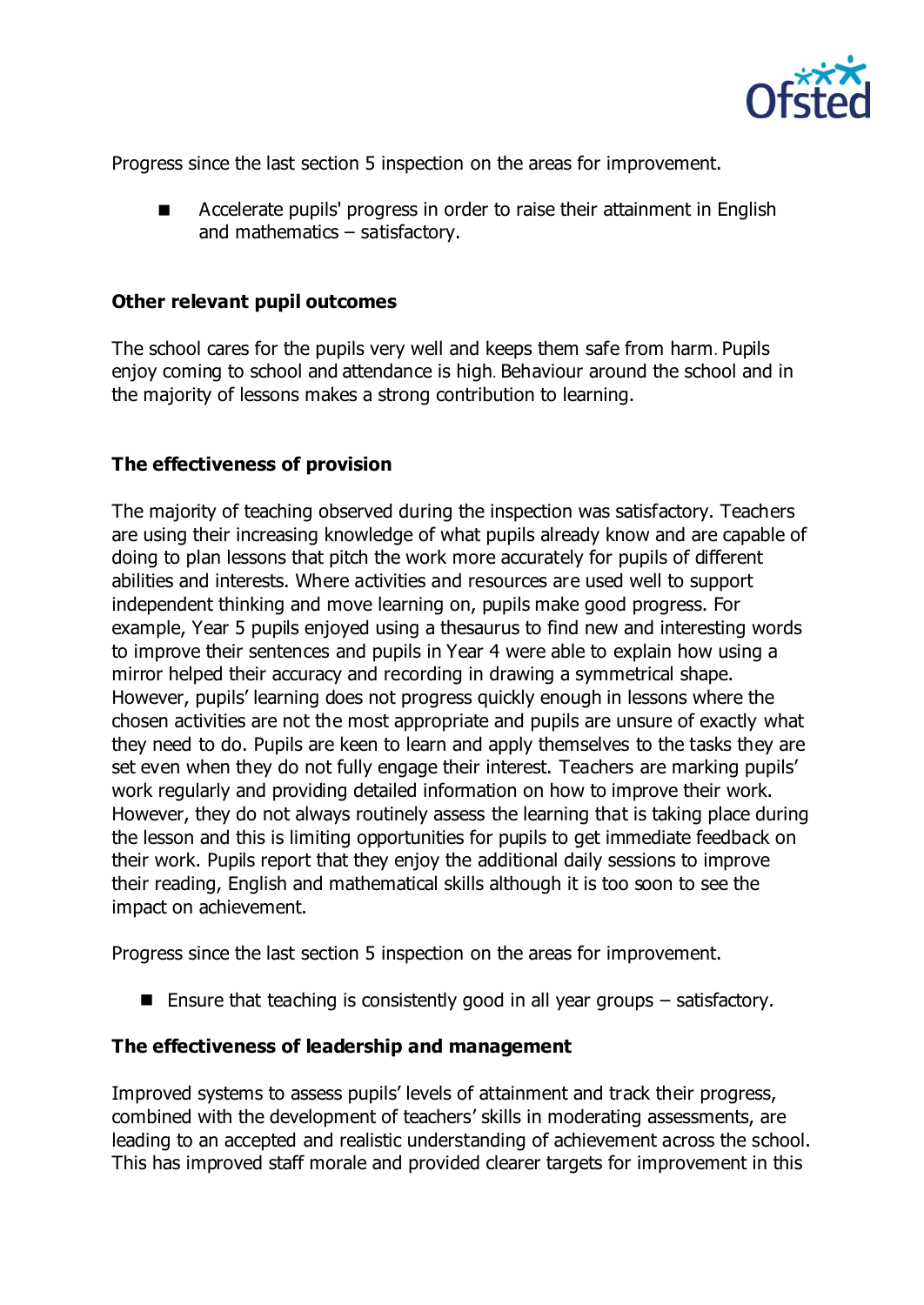

Progress since the last section 5 inspection on the areas for improvement.

 Accelerate pupils' progress in order to raise their attainment in English and mathematics – satisfactory.

#### **Other relevant pupil outcomes**

The school cares for the pupils very well and keeps them safe from harm. Pupils enjoy coming to school and attendance is high. Behaviour around the school and in the majority of lessons makes a strong contribution to learning.

#### **The effectiveness of provision**

The majority of teaching observed during the inspection was satisfactory. Teachers are using their increasing knowledge of what pupils already know and are capable of doing to plan lessons that pitch the work more accurately for pupils of different abilities and interests. Where activities and resources are used well to support independent thinking and move learning on, pupils make good progress. For example, Year 5 pupils enjoyed using a thesaurus to find new and interesting words to improve their sentences and pupils in Year 4 were able to explain how using a mirror helped their accuracy and recording in drawing a symmetrical shape. However, pupils' learning does not progress quickly enough in lessons where the chosen activities are not the most appropriate and pupils are unsure of exactly what they need to do. Pupils are keen to learn and apply themselves to the tasks they are set even when they do not fully engage their interest. Teachers are marking pupils' work regularly and providing detailed information on how to improve their work. However, they do not always routinely assess the learning that is taking place during the lesson and this is limiting opportunities for pupils to get immediate feedback on their work. Pupils report that they enjoy the additional daily sessions to improve their reading, English and mathematical skills although it is too soon to see the impact on achievement.

Progress since the last section 5 inspection on the areas for improvement.

**Ensure that teaching is consistently good in all year groups – satisfactory.** 

#### **The effectiveness of leadership and management**

Improved systems to assess pupils' levels of attainment and track their progress, combined with the development of teachers' skills in moderating assessments, are leading to an accepted and realistic understanding of achievement across the school. This has improved staff morale and provided clearer targets for improvement in this